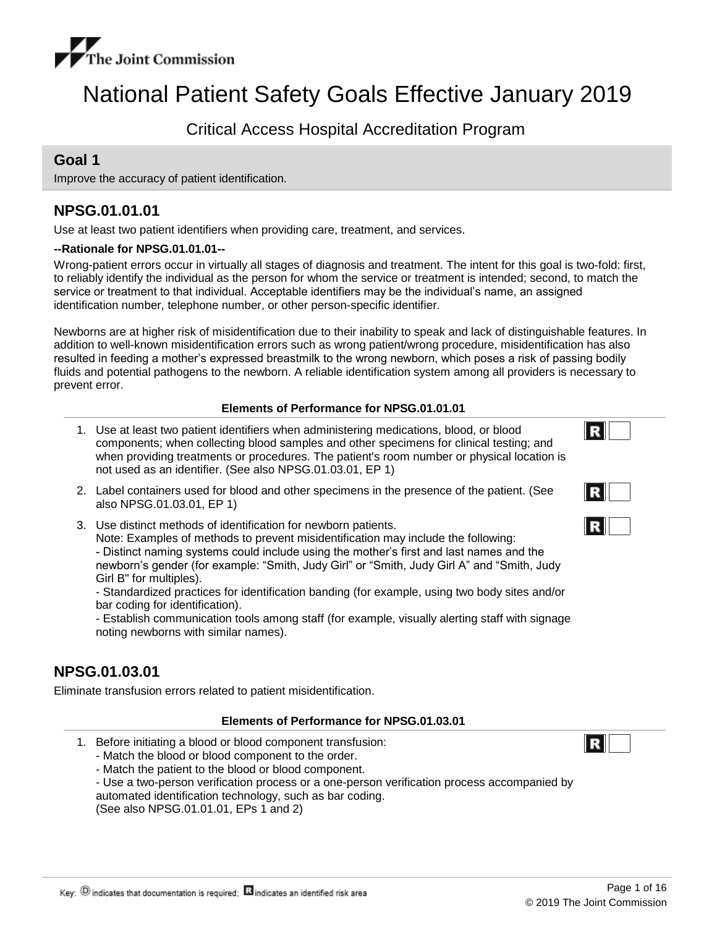

# National Patient Safety Goals Effective January 2019

Critical Access Hospital Accreditation Program

## **Goal 1**

Improve the accuracy of patient identification.

## **NPSG.01.01.01**

Use at least two patient identifiers when providing care, treatment, and services.

#### **--Rationale for NPSG.01.01.01--**

Wrong-patient errors occur in virtually all stages of diagnosis and treatment. The intent for this goal is two-fold: first, to reliably identify the individual as the person for whom the service or treatment is intended; second, to match the service or treatment to that individual. Acceptable identifiers may be the individual's name, an assigned identification number, telephone number, or other person-specific identifier.

Newborns are at higher risk of misidentification due to their inability to speak and lack of distinguishable features. In addition to well-known misidentification errors such as wrong patient/wrong procedure, misidentification has also resulted in feeding a mother's expressed breastmilk to the wrong newborn, which poses a risk of passing bodily fluids and potential pathogens to the newborn. A reliable identification system among all providers is necessary to prevent error.

#### **Elements of Performance for NPSG.01.01.01**

- Use at least two patient identifiers when administering medications, blood, or blood 1. components; when collecting blood samples and other specimens for clinical testing; and when providing treatments or procedures. The patient's room number or physical location is not used as an identifier. (See also NPSG.01.03.01, EP 1)
- 2. Label containers used for blood and other specimens in the presence of the patient. (See also NPSG.01.03.01, EP 1)
- Use distinct methods of identification for newborn patients. 3.

Note: Examples of methods to prevent misidentification may include the following: - Distinct naming systems could include using the mother's first and last names and the newborn's gender (for example: "Smith, Judy Girl" or "Smith, Judy Girl A" and "Smith, Judy Girl B" for multiples).

- Standardized practices for identification banding (for example, using two body sites and/or bar coding for identification).

- Establish communication tools among staff (for example, visually alerting staff with signage noting newborns with similar names).

## **NPSG.01.03.01**

Eliminate transfusion errors related to patient misidentification.

#### **Elements of Performance for NPSG.01.03.01**

- 1. Before initiating a blood or blood component transfusion:
	- Match the blood or blood component to the order.
	- Match the patient to the blood or blood component.
	- Use a two-person verification process or a one-person verification process accompanied by automated identification technology, such as bar coding.

(See also NPSG.01.01.01, EPs 1 and 2)

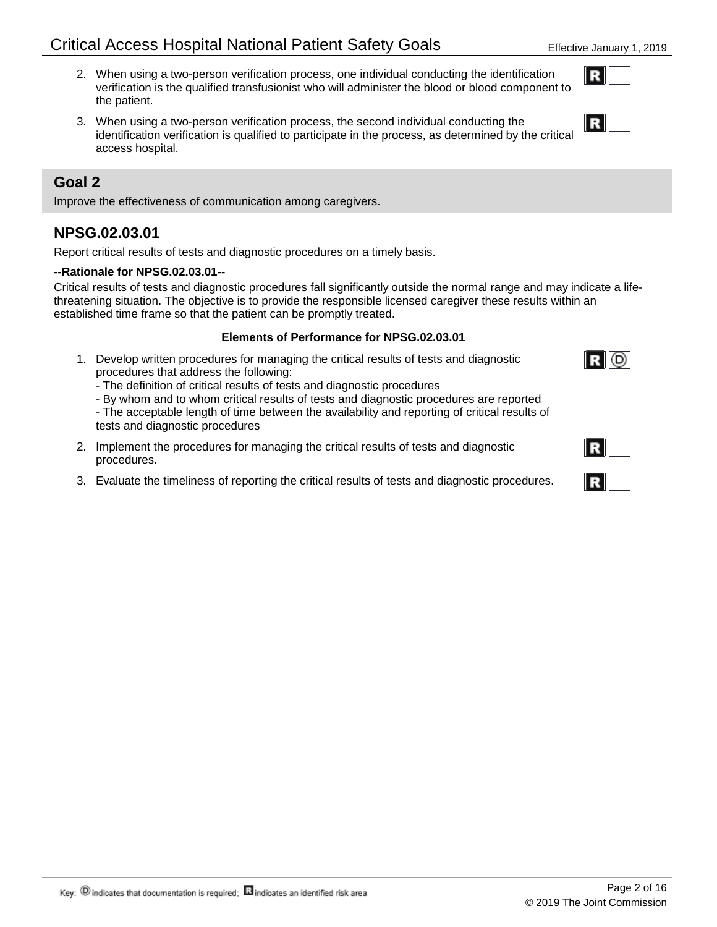- When using a two-person verification process, one individual conducting the identification 2. verification is the qualified transfusionist who will administer the blood or blood component to the patient.
- When using a two-person verification process, the second individual conducting the 3. identification verification is qualified to participate in the process, as determined by the critical access hospital.

Improve the effectiveness of communication among caregivers.

## **NPSG.02.03.01**

Report critical results of tests and diagnostic procedures on a timely basis.

### **--Rationale for NPSG.02.03.01--**

Critical results of tests and diagnostic procedures fall significantly outside the normal range and may indicate a lifethreatening situation. The objective is to provide the responsible licensed caregiver these results within an established time frame so that the patient can be promptly treated.

#### **Elements of Performance for NPSG.02.03.01**

- 1. Develop written procedures for managing the critical results of tests and diagnostic procedures that address the following:
	- The definition of critical results of tests and diagnostic procedures
	- By whom and to whom critical results of tests and diagnostic procedures are reported
	- The acceptable length of time between the availability and reporting of critical results of tests and diagnostic procedures
- 2. Implement the procedures for managing the critical results of tests and diagnostic procedures.
- 3. Evaluate the timeliness of reporting the critical results of tests and diagnostic procedures.



 $R$  (D)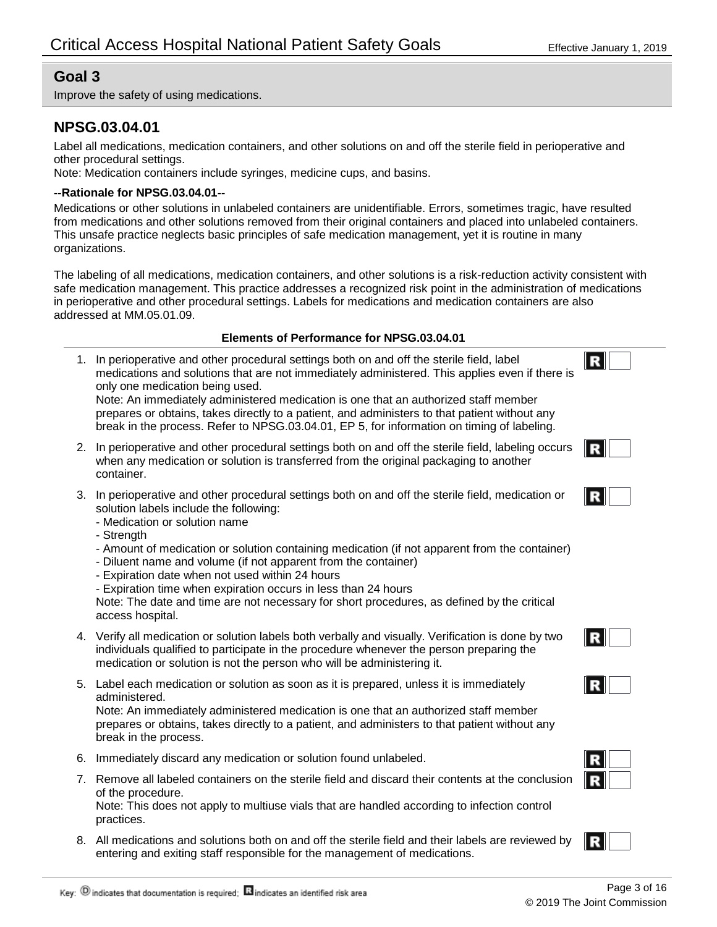Improve the safety of using medications.

## **NPSG.03.04.01**

Label all medications, medication containers, and other solutions on and off the sterile field in perioperative and other procedural settings.

Note: Medication containers include syringes, medicine cups, and basins.

#### **--Rationale for NPSG.03.04.01--**

Medications or other solutions in unlabeled containers are unidentifiable. Errors, sometimes tragic, have resulted from medications and other solutions removed from their original containers and placed into unlabeled containers. This unsafe practice neglects basic principles of safe medication management, yet it is routine in many organizations.

The labeling of all medications, medication containers, and other solutions is a risk-reduction activity consistent with safe medication management. This practice addresses a recognized risk point in the administration of medications in perioperative and other procedural settings. Labels for medications and medication containers are also addressed at MM.05.01.09.

#### **Elements of Performance for NPSG.03.04.01**

In perioperative and other procedural settings both on and off the sterile field, label 1. medications and solutions that are not immediately administered. This applies even if there is only one medication being used. Note: An immediately administered medication is one that an authorized staff member

prepares or obtains, takes directly to a patient, and administers to that patient without any break in the process. Refer to NPSG.03.04.01, EP 5, for information on timing of labeling.

- 2. In perioperative and other procedural settings both on and off the sterile field, labeling occurs when any medication or solution is transferred from the original packaging to another container.
- In perioperative and other procedural settings both on and off the sterile field, medication or 3. solution labels include the following:
	- Medication or solution name
	- Strength
	- Amount of medication or solution containing medication (if not apparent from the container)
	- Diluent name and volume (if not apparent from the container)
	- Expiration date when not used within 24 hours
	- Expiration time when expiration occurs in less than 24 hours

Note: The date and time are not necessary for short procedures, as defined by the critical access hospital.

- 4. Verify all medication or solution labels both verbally and visually. Verification is done by two individuals qualified to participate in the procedure whenever the person preparing the medication or solution is not the person who will be administering it.
- 5. Label each medication or solution as soon as it is prepared, unless it is immediately administered.

Note: An immediately administered medication is one that an authorized staff member prepares or obtains, takes directly to a patient, and administers to that patient without any break in the process.

- 6. Immediately discard any medication or solution found unlabeled.
- 7. Remove all labeled containers on the sterile field and discard their contents at the conclusion of the procedure. Note: This does not apply to multiuse vials that are handled according to infection control

practices.

All medications and solutions both on and off the sterile field and their labels are reviewed by 8. entering and exiting staff responsible for the management of medications.

IR



R



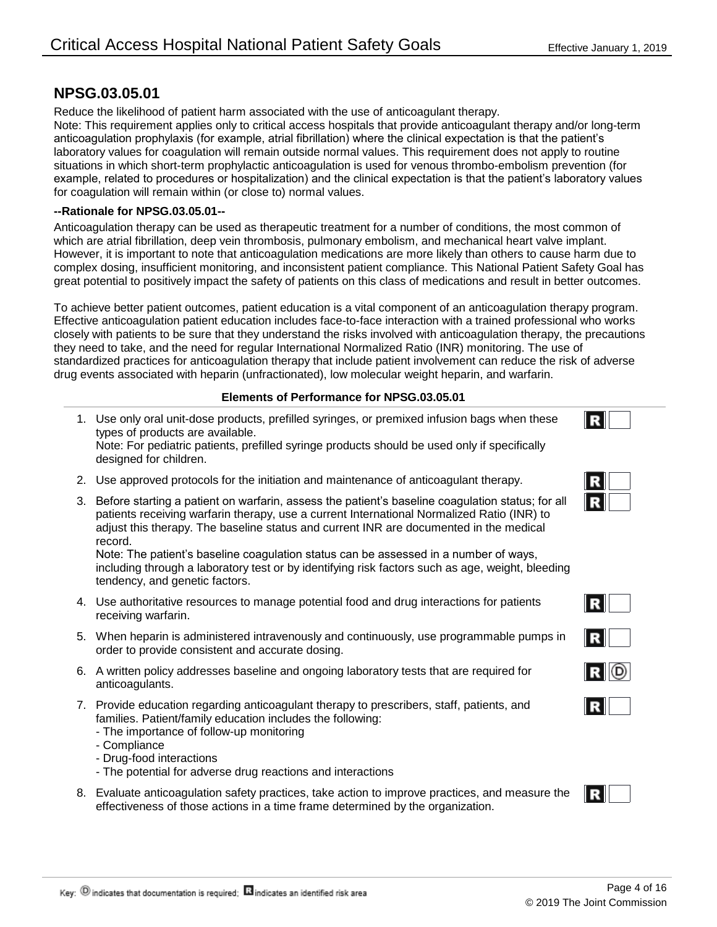## **NPSG.03.05.01**

Reduce the likelihood of patient harm associated with the use of anticoagulant therapy.

Note: This requirement applies only to critical access hospitals that provide anticoagulant therapy and/or long-term anticoagulation prophylaxis (for example, atrial fibrillation) where the clinical expectation is that the patient's laboratory values for coagulation will remain outside normal values. This requirement does not apply to routine situations in which short-term prophylactic anticoagulation is used for venous thrombo-embolism prevention (for example, related to procedures or hospitalization) and the clinical expectation is that the patient's laboratory values for coagulation will remain within (or close to) normal values.

#### **--Rationale for NPSG.03.05.01--**

Anticoagulation therapy can be used as therapeutic treatment for a number of conditions, the most common of which are atrial fibrillation, deep vein thrombosis, pulmonary embolism, and mechanical heart valve implant. However, it is important to note that anticoagulation medications are more likely than others to cause harm due to complex dosing, insufficient monitoring, and inconsistent patient compliance. This National Patient Safety Goal has great potential to positively impact the safety of patients on this class of medications and result in better outcomes.

To achieve better patient outcomes, patient education is a vital component of an anticoagulation therapy program. Effective anticoagulation patient education includes face-to-face interaction with a trained professional who works closely with patients to be sure that they understand the risks involved with anticoagulation therapy, the precautions they need to take, and the need for regular International Normalized Ratio (INR) monitoring. The use of standardized practices for anticoagulation therapy that include patient involvement can reduce the risk of adverse drug events associated with heparin (unfractionated), low molecular weight heparin, and warfarin.

### **Elements of Performance for NPSG.03.05.01**

- 1. Use only oral unit-dose products, prefilled syringes, or premixed infusion bags when these types of products are available. Note: For pediatric patients, prefilled syringe products should be used only if specifically designed for children.
- 2. Use approved protocols for the initiation and maintenance of anticoagulant therapy.
- 3. Before starting a patient on warfarin, assess the patient's baseline coagulation status; for all patients receiving warfarin therapy, use a current International Normalized Ratio (INR) to adjust this therapy. The baseline status and current INR are documented in the medical record.

Note: The patient's baseline coagulation status can be assessed in a number of ways, including through a laboratory test or by identifying risk factors such as age, weight, bleeding tendency, and genetic factors.

- Use authoritative resources to manage potential food and drug interactions for patients 4. receiving warfarin.
- When heparin is administered intravenously and continuously, use programmable pumps in 5. order to provide consistent and accurate dosing.
- 6. A written policy addresses baseline and ongoing laboratory tests that are required for anticoagulants.
- 7. Provide education regarding anticoagulant therapy to prescribers, staff, patients, and families. Patient/family education includes the following:
	- The importance of follow-up monitoring
	- Compliance
	- Drug-food interactions
	- The potential for adverse drug reactions and interactions
- Evaluate anticoagulation safety practices, take action to improve practices, and measure the 8. effectiveness of those actions in a time frame determined by the organization.



R

 $\Gamma = \Gamma$ 





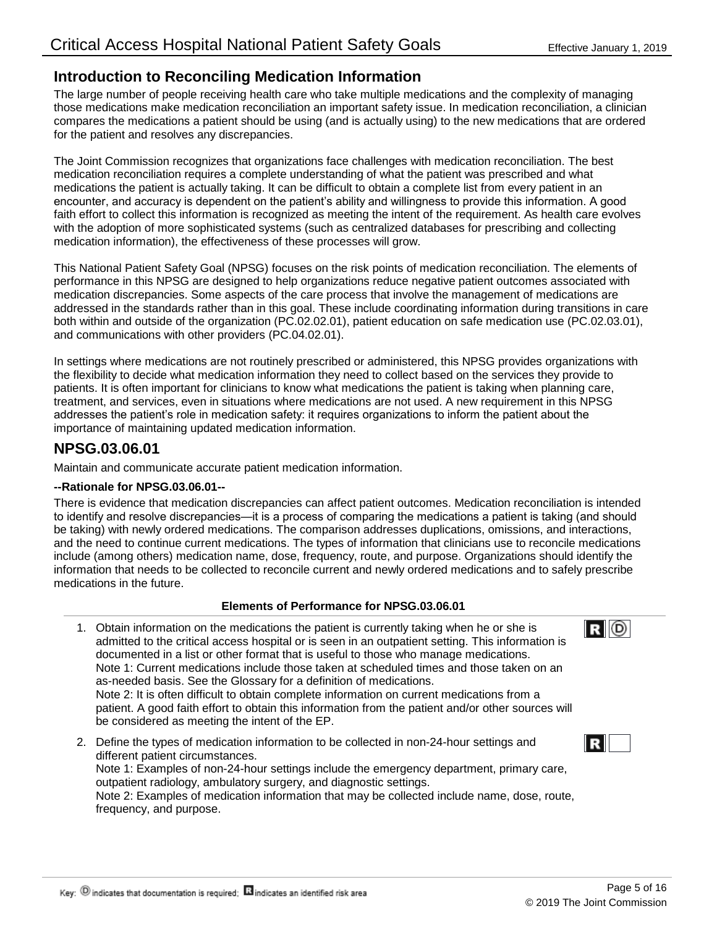## **Introduction to Reconciling Medication Information**

The large number of people receiving health care who take multiple medications and the complexity of managing those medications make medication reconciliation an important safety issue. In medication reconciliation, a clinician compares the medications a patient should be using (and is actually using) to the new medications that are ordered for the patient and resolves any discrepancies.

The Joint Commission recognizes that organizations face challenges with medication reconciliation. The best medication reconciliation requires a complete understanding of what the patient was prescribed and what medications the patient is actually taking. It can be difficult to obtain a complete list from every patient in an encounter, and accuracy is dependent on the patient's ability and willingness to provide this information. A good faith effort to collect this information is recognized as meeting the intent of the requirement. As health care evolves with the adoption of more sophisticated systems (such as centralized databases for prescribing and collecting medication information), the effectiveness of these processes will grow.

This National Patient Safety Goal (NPSG) focuses on the risk points of medication reconciliation. The elements of performance in this NPSG are designed to help organizations reduce negative patient outcomes associated with medication discrepancies. Some aspects of the care process that involve the management of medications are addressed in the standards rather than in this goal. These include coordinating information during transitions in care both within and outside of the organization (PC.02.02.01), patient education on safe medication use (PC.02.03.01), and communications with other providers (PC.04.02.01).

In settings where medications are not routinely prescribed or administered, this NPSG provides organizations with the flexibility to decide what medication information they need to collect based on the services they provide to patients. It is often important for clinicians to know what medications the patient is taking when planning care, treatment, and services, even in situations where medications are not used. A new requirement in this NPSG addresses the patient's role in medication safety: it requires organizations to inform the patient about the importance of maintaining updated medication information.

## **NPSG.03.06.01**

Maintain and communicate accurate patient medication information.

#### **--Rationale for NPSG.03.06.01--**

There is evidence that medication discrepancies can affect patient outcomes. Medication reconciliation is intended to identify and resolve discrepancies—it is a process of comparing the medications a patient is taking (and should be taking) with newly ordered medications. The comparison addresses duplications, omissions, and interactions, and the need to continue current medications. The types of information that clinicians use to reconcile medications include (among others) medication name, dose, frequency, route, and purpose. Organizations should identify the information that needs to be collected to reconcile current and newly ordered medications and to safely prescribe medications in the future.

#### **Elements of Performance for NPSG.03.06.01**

- Obtain information on the medications the patient is currently taking when he or she is 1. admitted to the critical access hospital or is seen in an outpatient setting. This information is documented in a list or other format that is useful to those who manage medications. Note 1: Current medications include those taken at scheduled times and those taken on an as-needed basis. See the Glossary for a definition of medications. Note 2: It is often difficult to obtain complete information on current medications from a patient. A good faith effort to obtain this information from the patient and/or other sources will be considered as meeting the intent of the EP.
- 2. Define the types of medication information to be collected in non-24-hour settings and R different patient circumstances. Note 1: Examples of non-24-hour settings include the emergency department, primary care, outpatient radiology, ambulatory surgery, and diagnostic settings. Note 2: Examples of medication information that may be collected include name, dose, route, frequency, and purpose.

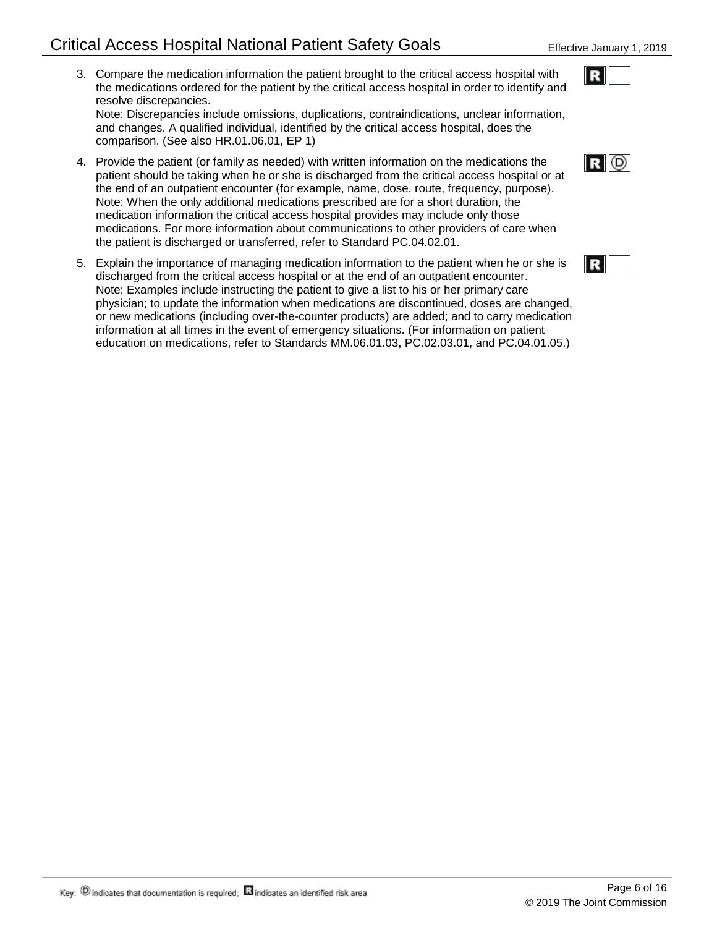Compare the medication information the patient brought to the critical access hospital with 3. the medications ordered for the patient by the critical access hospital in order to identify and resolve discrepancies.

Note: Discrepancies include omissions, duplications, contraindications, unclear information, and changes. A qualified individual, identified by the critical access hospital, does the comparison. (See also HR.01.06.01, EP 1)

- 4. Provide the patient (or family as needed) with written information on the medications the patient should be taking when he or she is discharged from the critical access hospital or at the end of an outpatient encounter (for example, name, dose, route, frequency, purpose). Note: When the only additional medications prescribed are for a short duration, the medication information the critical access hospital provides may include only those medications. For more information about communications to other providers of care when the patient is discharged or transferred, refer to Standard PC.04.02.01.
- Explain the importance of managing medication information to the patient when he or she is 5. discharged from the critical access hospital or at the end of an outpatient encounter. Note: Examples include instructing the patient to give a list to his or her primary care physician; to update the information when medications are discontinued, doses are changed, or new medications (including over-the-counter products) are added; and to carry medication information at all times in the event of emergency situations. (For information on patient education on medications, refer to Standards MM.06.01.03, PC.02.03.01, and PC.04.01.05.)

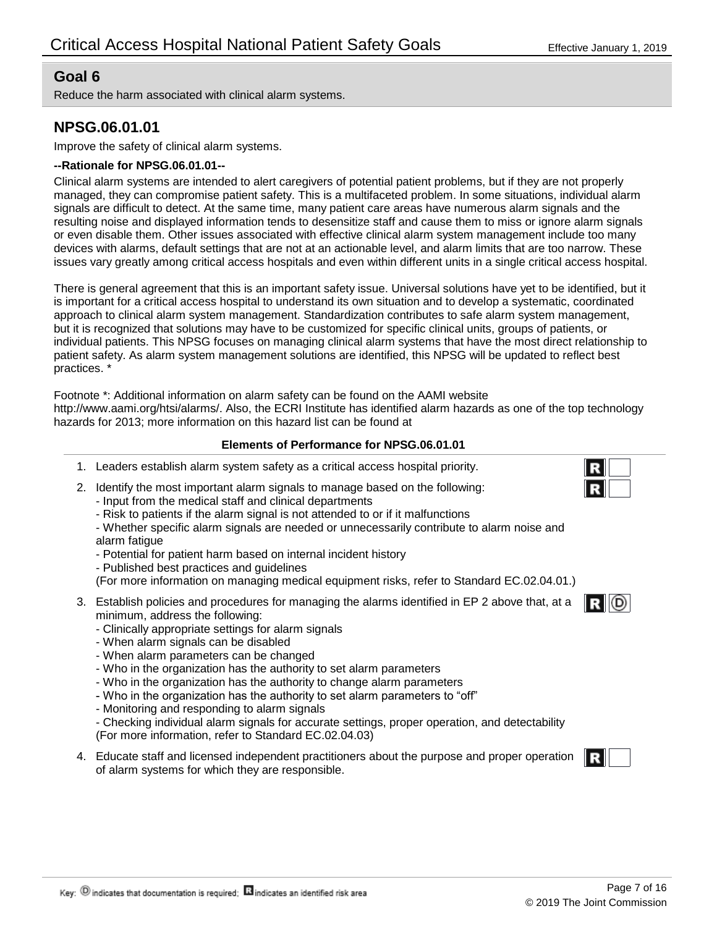Reduce the harm associated with clinical alarm systems.

## **NPSG.06.01.01**

Improve the safety of clinical alarm systems.

#### **--Rationale for NPSG.06.01.01--**

Clinical alarm systems are intended to alert caregivers of potential patient problems, but if they are not properly managed, they can compromise patient safety. This is a multifaceted problem. In some situations, individual alarm signals are difficult to detect. At the same time, many patient care areas have numerous alarm signals and the resulting noise and displayed information tends to desensitize staff and cause them to miss or ignore alarm signals or even disable them. Other issues associated with effective clinical alarm system management include too many devices with alarms, default settings that are not at an actionable level, and alarm limits that are too narrow. These issues vary greatly among critical access hospitals and even within different units in a single critical access hospital.

There is general agreement that this is an important safety issue. Universal solutions have yet to be identified, but it is important for a critical access hospital to understand its own situation and to develop a systematic, coordinated approach to clinical alarm system management. Standardization contributes to safe alarm system management, but it is recognized that solutions may have to be customized for specific clinical units, groups of patients, or individual patients. This NPSG focuses on managing clinical alarm systems that have the most direct relationship to patient safety. As alarm system management solutions are identified, this NPSG will be updated to reflect best practices. \*

Footnote \*: Additional information on alarm safety can be found on the AAMI website http://www.aami.org/htsi/alarms/. Also, the ECRI Institute has identified alarm hazards as one of the top technology hazards for 2013; more information on this hazard list can be found at

#### **Elements of Performance for NPSG.06.01.01**

- 1. Leaders establish alarm system safety as a critical access hospital priority.
- 2. Identify the most important alarm signals to manage based on the following:
	- Input from the medical staff and clinical departments
	- Risk to patients if the alarm signal is not attended to or if it malfunctions

- Whether specific alarm signals are needed or unnecessarily contribute to alarm noise and alarm fatigue

- Potential for patient harm based on internal incident history
- Published best practices and guidelines

(For more information on managing medical equipment risks, refer to Standard EC.02.04.01.)

- Establish policies and procedures for managing the alarms identified in EP 2 above that, at a 3. minimum, address the following:
	- Clinically appropriate settings for alarm signals
	- When alarm signals can be disabled
	- When alarm parameters can be changed
	- Who in the organization has the authority to set alarm parameters
	- Who in the organization has the authority to change alarm parameters
	- Who in the organization has the authority to set alarm parameters to "off"
	- Monitoring and responding to alarm signals

- Checking individual alarm signals for accurate settings, proper operation, and detectability (For more information, refer to Standard EC.02.04.03)

Educate staff and licensed independent practitioners about the purpose and proper operation 4. of alarm systems for which they are responsible.

R D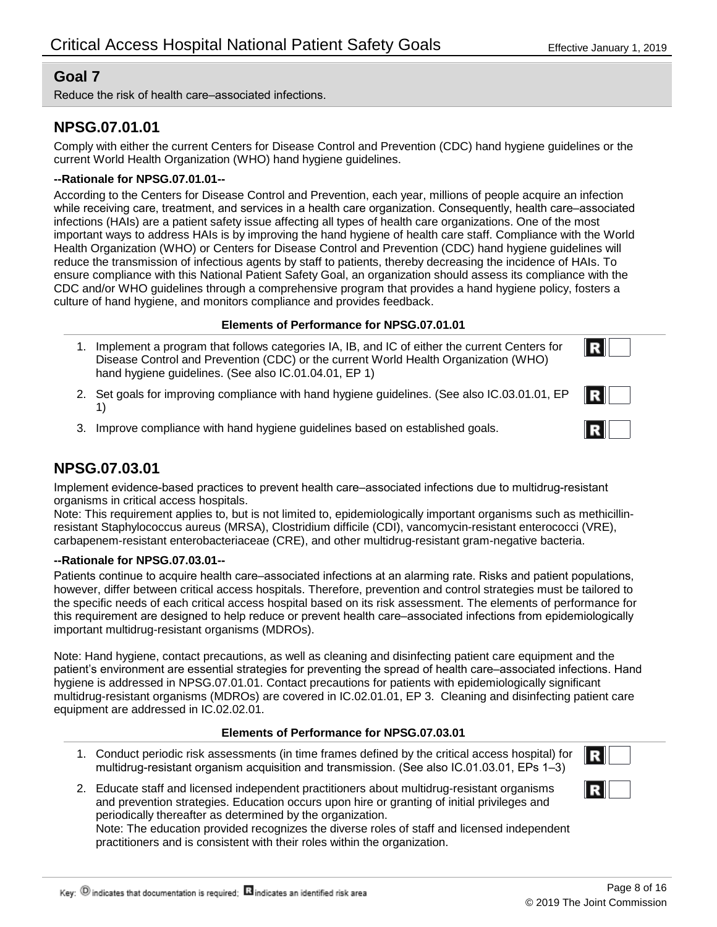Reduce the risk of health care–associated infections.

## **NPSG.07.01.01**

Comply with either the current Centers for Disease Control and Prevention (CDC) hand hygiene guidelines or the current World Health Organization (WHO) hand hygiene guidelines.

#### **--Rationale for NPSG.07.01.01--**

According to the Centers for Disease Control and Prevention, each year, millions of people acquire an infection while receiving care, treatment, and services in a health care organization. Consequently, health care–associated infections (HAIs) are a patient safety issue affecting all types of health care organizations. One of the most important ways to address HAIs is by improving the hand hygiene of health care staff. Compliance with the World Health Organization (WHO) or Centers for Disease Control and Prevention (CDC) hand hygiene guidelines will reduce the transmission of infectious agents by staff to patients, thereby decreasing the incidence of HAIs. To ensure compliance with this National Patient Safety Goal, an organization should assess its compliance with the CDC and/or WHO guidelines through a comprehensive program that provides a hand hygiene policy, fosters a culture of hand hygiene, and monitors compliance and provides feedback.

#### **Elements of Performance for NPSG.07.01.01**

- 1. Implement a program that follows categories IA, IB, and IC of either the current Centers for Disease Control and Prevention (CDC) or the current World Health Organization (WHO) hand hygiene guidelines. (See also IC.01.04.01, EP 1)
- 2. Set goals for improving compliance with hand hygiene guidelines. (See also IC.03.01.01, EP 1)
- 3. Improve compliance with hand hygiene guidelines based on established goals.

R

## **NPSG.07.03.01**

Implement evidence-based practices to prevent health care–associated infections due to multidrug-resistant organisms in critical access hospitals.

Note: This requirement applies to, but is not limited to, epidemiologically important organisms such as methicillinresistant Staphylococcus aureus (MRSA), Clostridium difficile (CDI), vancomycin-resistant enterococci (VRE), carbapenem-resistant enterobacteriaceae (CRE), and other multidrug-resistant gram-negative bacteria.

#### **--Rationale for NPSG.07.03.01--**

Patients continue to acquire health care–associated infections at an alarming rate. Risks and patient populations, however, differ between critical access hospitals. Therefore, prevention and control strategies must be tailored to the specific needs of each critical access hospital based on its risk assessment. The elements of performance for this requirement are designed to help reduce or prevent health care–associated infections from epidemiologically important multidrug-resistant organisms (MDROs).

Note: Hand hygiene, contact precautions, as well as cleaning and disinfecting patient care equipment and the patient's environment are essential strategies for preventing the spread of health care–associated infections. Hand hygiene is addressed in NPSG.07.01.01. Contact precautions for patients with epidemiologically significant multidrug-resistant organisms (MDROs) are covered in IC.02.01.01, EP 3. Cleaning and disinfecting patient care equipment are addressed in IC.02.02.01.

#### **Elements of Performance for NPSG.07.03.01**

- Conduct periodic risk assessments (in time frames defined by the critical access hospital) for 1. multidrug-resistant organism acquisition and transmission. (See also IC.01.03.01, EPs 1–3)
- Educate staff and licensed independent practitioners about multidrug-resistant organisms 2. and prevention strategies. Education occurs upon hire or granting of initial privileges and

periodically thereafter as determined by the organization. Note: The education provided recognizes the diverse roles of staff and licensed independent practitioners and is consistent with their roles within the organization.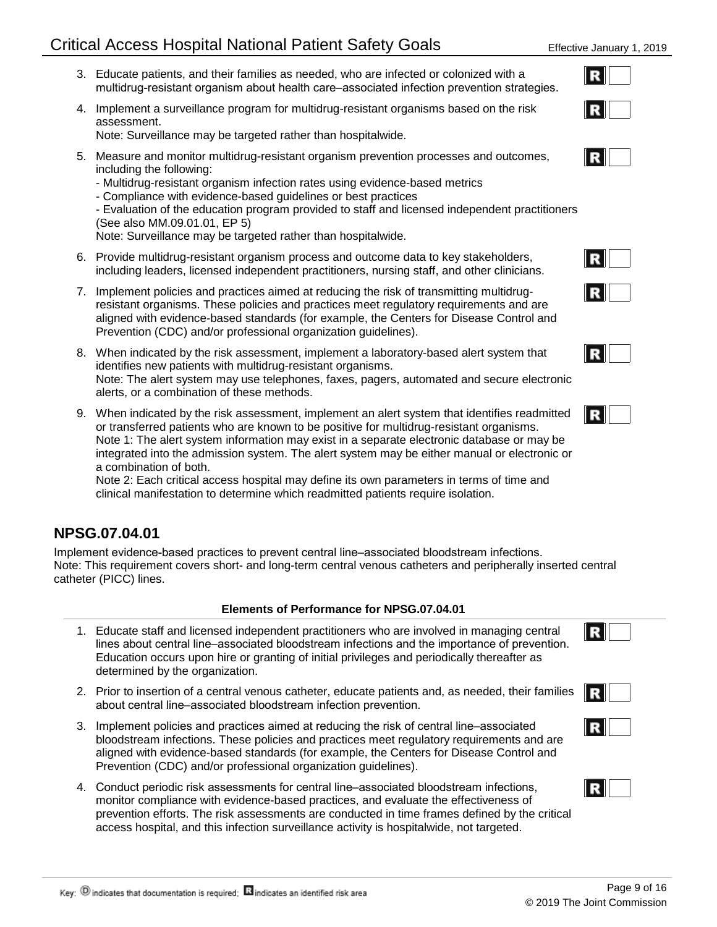- Educate patients, and their families as needed, who are infected or colonized with a 3. multidrug-resistant organism about health care–associated infection prevention strategies.
- 4. Implement a surveillance program for multidrug-resistant organisms based on the risk assessment.

Note: Surveillance may be targeted rather than hospitalwide.

- Measure and monitor multidrug-resistant organism prevention processes and outcomes, 5. including the following:
	- Multidrug-resistant organism infection rates using evidence-based metrics
	- Compliance with evidence-based guidelines or best practices

- Evaluation of the education program provided to staff and licensed independent practitioners (See also MM.09.01.01, EP 5)

Note: Surveillance may be targeted rather than hospitalwide.

- 6. Provide multidrug-resistant organism process and outcome data to key stakeholders, including leaders, licensed independent practitioners, nursing staff, and other clinicians.
- 7. Implement policies and practices aimed at reducing the risk of transmitting multidrugresistant organisms. These policies and practices meet regulatory requirements and are aligned with evidence-based standards (for example, the Centers for Disease Control and Prevention (CDC) and/or professional organization guidelines).
- When indicated by the risk assessment, implement a laboratory-based alert system that 8. identifies new patients with multidrug-resistant organisms. Note: The alert system may use telephones, faxes, pagers, automated and secure electronic alerts, or a combination of these methods.
- When indicated by the risk assessment, implement an alert system that identifies readmitted 9. or transferred patients who are known to be positive for multidrug-resistant organisms. Note 1: The alert system information may exist in a separate electronic database or may be integrated into the admission system. The alert system may be either manual or electronic or a combination of both.

Note 2: Each critical access hospital may define its own parameters in terms of time and clinical manifestation to determine which readmitted patients require isolation.

## **NPSG.07.04.01**

Implement evidence-based practices to prevent central line–associated bloodstream infections. Note: This requirement covers short- and long-term central venous catheters and peripherally inserted central catheter (PICC) lines.

## **Elements of Performance for NPSG.07.04.01**

- Educate staff and licensed independent practitioners who are involved in managing central 1. lines about central line–associated bloodstream infections and the importance of prevention. Education occurs upon hire or granting of initial privileges and periodically thereafter as determined by the organization.
- 2. Prior to insertion of a central venous catheter, educate patients and, as needed, their families about central line–associated bloodstream infection prevention.
- 3. Implement policies and practices aimed at reducing the risk of central line–associated bloodstream infections. These policies and practices meet regulatory requirements and are aligned with evidence-based standards (for example, the Centers for Disease Control and Prevention (CDC) and/or professional organization guidelines).
- Conduct periodic risk assessments for central line–associated bloodstream infections, 4. monitor compliance with evidence-based practices, and evaluate the effectiveness of prevention efforts. The risk assessments are conducted in time frames defined by the critical access hospital, and this infection surveillance activity is hospitalwide, not targeted.





|--|



|--|--|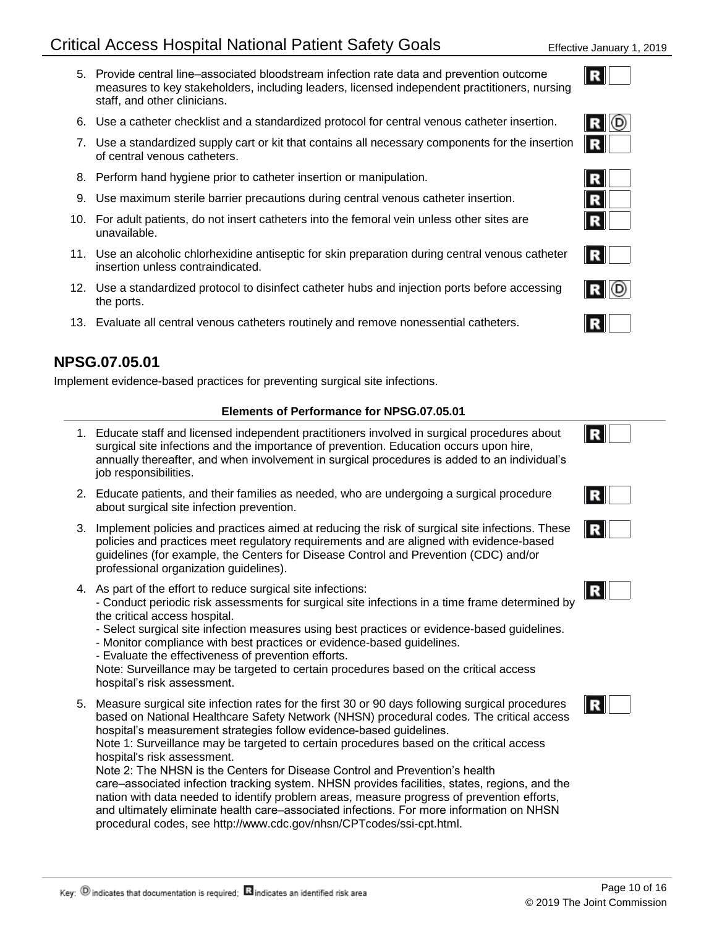- 5. Provide central line–associated bloodstream infection rate data and prevention outcome measures to key stakeholders, including leaders, licensed independent practitioners, nursing staff, and other clinicians.
- 6. Use a catheter checklist and a standardized protocol for central venous catheter insertion.
- 7. Use a standardized supply cart or kit that contains all necessary components for the insertion of central venous catheters.
- 8. Perform hand hygiene prior to catheter insertion or manipulation.
- 9. Use maximum sterile barrier precautions during central venous catheter insertion.
- For adult patients, do not insert catheters into the femoral vein unless other sites are 10. unavailable.
- 11. Use an alcoholic chlorhexidine antiseptic for skin preparation during central venous catheter insertion unless contraindicated.
- 12. Use a standardized protocol to disinfect catheter hubs and injection ports before accessing the ports.
- 13. Evaluate all central venous catheters routinely and remove nonessential catheters.

## **NPSG.07.05.01**

Implement evidence-based practices for preventing surgical site infections.

### **Elements of Performance for NPSG.07.05.01**

- Educate staff and licensed independent practitioners involved in surgical procedures about 1. surgical site infections and the importance of prevention. Education occurs upon hire, annually thereafter, and when involvement in surgical procedures is added to an individual's job responsibilities.
- 2. Educate patients, and their families as needed, who are undergoing a surgical procedure about surgical site infection prevention.
- 3. Implement policies and practices aimed at reducing the risk of surgical site infections. These policies and practices meet regulatory requirements and are aligned with evidence-based guidelines (for example, the Centers for Disease Control and Prevention (CDC) and/or professional organization guidelines).
- 4. As part of the effort to reduce surgical site infections:

- Conduct periodic risk assessments for surgical site infections in a time frame determined by the critical access hospital.

- Select surgical site infection measures using best practices or evidence-based guidelines.
- Monitor compliance with best practices or evidence-based guidelines.
- Evaluate the effectiveness of prevention efforts.

Note: Surveillance may be targeted to certain procedures based on the critical access hospital's risk assessment.

Measure surgical site infection rates for the first 30 or 90 days following surgical procedures 5. based on National Healthcare Safety Network (NHSN) procedural codes. The critical access hospital's measurement strategies follow evidence-based guidelines.

Note 1: Surveillance may be targeted to certain procedures based on the critical access hospital's risk assessment.

Note 2: The NHSN is the Centers for Disease Control and Prevention's health care–associated infection tracking system. NHSN provides facilities, states, regions, and the nation with data needed to identify problem areas, measure progress of prevention efforts, and ultimately eliminate health care–associated infections. For more information on NHSN procedural codes, see http://www.cdc.gov/nhsn/CPTcodes/ssi-cpt.html.









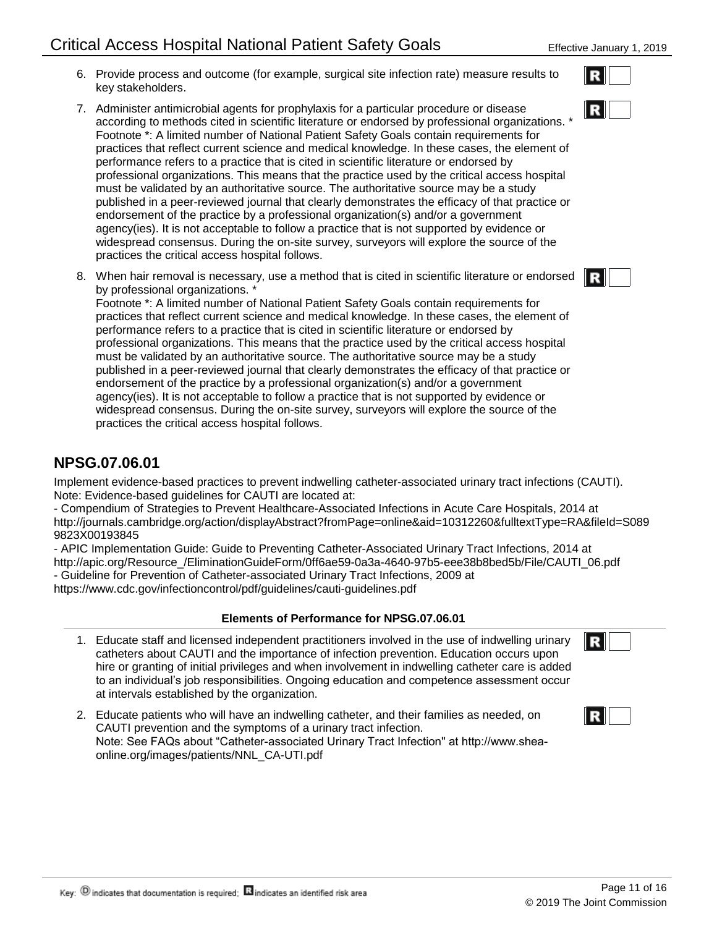- 6. Provide process and outcome (for example, surgical site infection rate) measure results to key stakeholders.
- 7. Administer antimicrobial agents for prophylaxis for a particular procedure or disease according to methods cited in scientific literature or endorsed by professional organizations. ' Footnote \*: A limited number of National Patient Safety Goals contain requirements for practices that reflect current science and medical knowledge. In these cases, the element of performance refers to a practice that is cited in scientific literature or endorsed by professional organizations. This means that the practice used by the critical access hospital must be validated by an authoritative source. The authoritative source may be a study published in a peer-reviewed journal that clearly demonstrates the efficacy of that practice or endorsement of the practice by a professional organization(s) and/or a government agency(ies). It is not acceptable to follow a practice that is not supported by evidence or widespread consensus. During the on-site survey, surveyors will explore the source of the practices the critical access hospital follows.
- When hair removal is necessary, use a method that is cited in scientific literature or endorsed 8. by professional organizations.

Footnote \*: A limited number of National Patient Safety Goals contain requirements for practices that reflect current science and medical knowledge. In these cases, the element of performance refers to a practice that is cited in scientific literature or endorsed by professional organizations. This means that the practice used by the critical access hospital must be validated by an authoritative source. The authoritative source may be a study published in a peer-reviewed journal that clearly demonstrates the efficacy of that practice or endorsement of the practice by a professional organization(s) and/or a government agency(ies). It is not acceptable to follow a practice that is not supported by evidence or widespread consensus. During the on-site survey, surveyors will explore the source of the practices the critical access hospital follows.

## **NPSG.07.06.01**

Implement evidence-based practices to prevent indwelling catheter-associated urinary tract infections (CAUTI). Note: Evidence-based guidelines for CAUTI are located at:

- Compendium of Strategies to Prevent Healthcare-Associated Infections in Acute Care Hospitals, 2014 at http://journals.cambridge.org/action/displayAbstract?fromPage=online&aid=10312260&fulltextType=RA&fileId=S089 9823X00193845

- APIC Implementation Guide: Guide to Preventing Catheter-Associated Urinary Tract Infections, 2014 at http://apic.org/Resource\_/EliminationGuideForm/0ff6ae59-0a3a-4640-97b5-eee38b8bed5b/File/CAUTI\_06.pdf - Guideline for Prevention of Catheter-associated Urinary Tract Infections, 2009 at https://www.cdc.gov/infectioncontrol/pdf/guidelines/cauti-guidelines.pdf

#### **Elements of Performance for NPSG.07.06.01**

- Educate staff and licensed independent practitioners involved in the use of indwelling urinary 1. catheters about CAUTI and the importance of infection prevention. Education occurs upon hire or granting of initial privileges and when involvement in indwelling catheter care is added to an individual's job responsibilities. Ongoing education and competence assessment occur at intervals established by the organization.
- Educate patients who will have an indwelling catheter, and their families as needed, on 2. CAUTI prevention and the symptoms of a urinary tract infection. Note: See FAQs about "Catheter-associated Urinary Tract Infection" at http://www.sheaonline.org/images/patients/NNL\_CA-UTI.pdf



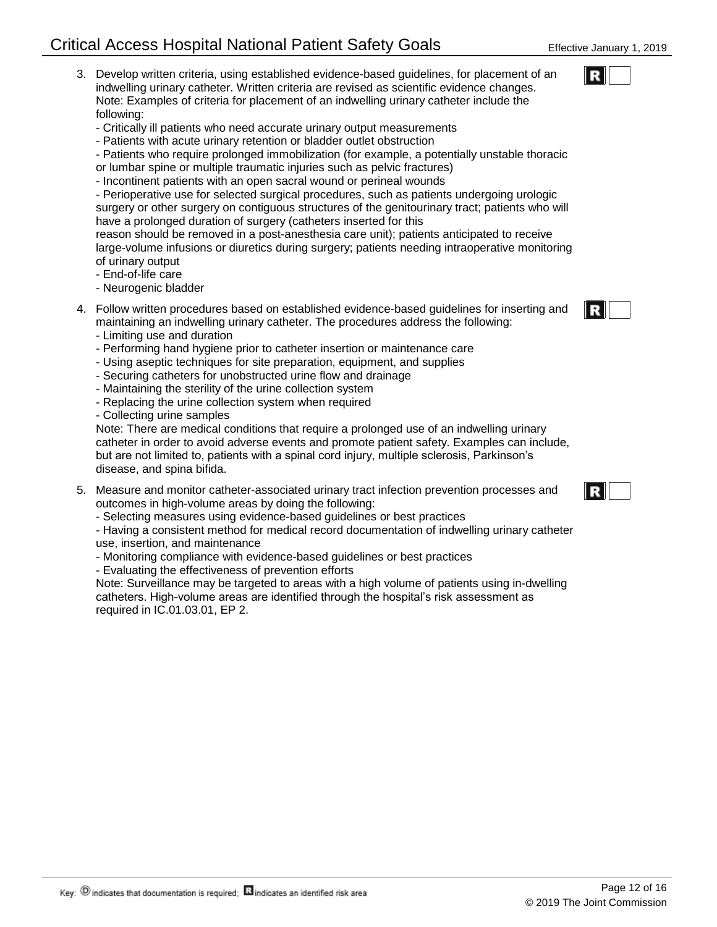- Develop written criteria, using established evidence-based guidelines, for placement of an 3. indwelling urinary catheter. Written criteria are revised as scientific evidence changes. Note: Examples of criteria for placement of an indwelling urinary catheter include the following:
	- Critically ill patients who need accurate urinary output measurements
	- Patients with acute urinary retention or bladder outlet obstruction
	- Patients who require prolonged immobilization (for example, a potentially unstable thoracic
	- or lumbar spine or multiple traumatic injuries such as pelvic fractures) - Incontinent patients with an open sacral wound or perineal wounds
	- Perioperative use for selected surgical procedures, such as patients undergoing urologic
	- surgery or other surgery on contiguous structures of the genitourinary tract; patients who will have a prolonged duration of surgery (catheters inserted for this

reason should be removed in a post-anesthesia care unit); patients anticipated to receive large-volume infusions or diuretics during surgery; patients needing intraoperative monitoring of urinary output

- End-of-life care
- Neurogenic bladder
- Follow written procedures based on established evidence-based guidelines for inserting and 4. maintaining an indwelling urinary catheter. The procedures address the following:
	- Limiting use and duration
	- Performing hand hygiene prior to catheter insertion or maintenance care
	- Using aseptic techniques for site preparation, equipment, and supplies
	- Securing catheters for unobstructed urine flow and drainage
	- Maintaining the sterility of the urine collection system
	- Replacing the urine collection system when required
	- Collecting urine samples

Note: There are medical conditions that require a prolonged use of an indwelling urinary catheter in order to avoid adverse events and promote patient safety. Examples can include, but are not limited to, patients with a spinal cord injury, multiple sclerosis, Parkinson's disease, and spina bifida.

- Measure and monitor catheter-associated urinary tract infection prevention processes and 5. outcomes in high-volume areas by doing the following:
	- Selecting measures using evidence-based guidelines or best practices

- Having a consistent method for medical record documentation of indwelling urinary catheter

- use, insertion, and maintenance
- Monitoring compliance with evidence-based guidelines or best practices
- Evaluating the effectiveness of prevention efforts

Note: Surveillance may be targeted to areas with a high volume of patients using in-dwelling catheters. High-volume areas are identified through the hospital's risk assessment as required in IC.01.03.01, EP 2.





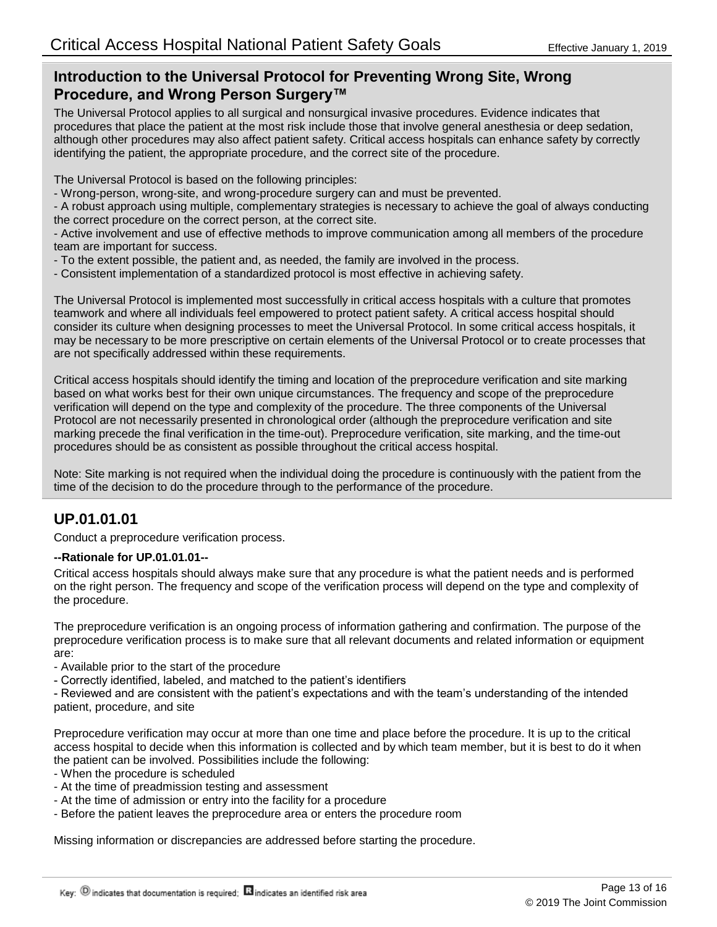## **Introduction to the Universal Protocol for Preventing Wrong Site, Wrong Procedure, and Wrong Person Surgery™**

The Universal Protocol applies to all surgical and nonsurgical invasive procedures. Evidence indicates that procedures that place the patient at the most risk include those that involve general anesthesia or deep sedation, although other procedures may also affect patient safety. Critical access hospitals can enhance safety by correctly identifying the patient, the appropriate procedure, and the correct site of the procedure.

The Universal Protocol is based on the following principles:

- Wrong-person, wrong-site, and wrong-procedure surgery can and must be prevented.

- A robust approach using multiple, complementary strategies is necessary to achieve the goal of always conducting the correct procedure on the correct person, at the correct site.

- Active involvement and use of effective methods to improve communication among all members of the procedure team are important for success.

- To the extent possible, the patient and, as needed, the family are involved in the process.
- Consistent implementation of a standardized protocol is most effective in achieving safety.

The Universal Protocol is implemented most successfully in critical access hospitals with a culture that promotes teamwork and where all individuals feel empowered to protect patient safety. A critical access hospital should consider its culture when designing processes to meet the Universal Protocol. In some critical access hospitals, it may be necessary to be more prescriptive on certain elements of the Universal Protocol or to create processes that are not specifically addressed within these requirements.

Critical access hospitals should identify the timing and location of the preprocedure verification and site marking based on what works best for their own unique circumstances. The frequency and scope of the preprocedure verification will depend on the type and complexity of the procedure. The three components of the Universal Protocol are not necessarily presented in chronological order (although the preprocedure verification and site marking precede the final verification in the time-out). Preprocedure verification, site marking, and the time-out procedures should be as consistent as possible throughout the critical access hospital.

Note: Site marking is not required when the individual doing the procedure is continuously with the patient from the time of the decision to do the procedure through to the performance of the procedure.

## **UP.01.01.01**

Conduct a preprocedure verification process.

### **--Rationale for UP.01.01.01--**

Critical access hospitals should always make sure that any procedure is what the patient needs and is performed on the right person. The frequency and scope of the verification process will depend on the type and complexity of the procedure.

The preprocedure verification is an ongoing process of information gathering and confirmation. The purpose of the preprocedure verification process is to make sure that all relevant documents and related information or equipment are:

- Available prior to the start of the procedure

- Correctly identified, labeled, and matched to the patient's identifiers

- Reviewed and are consistent with the patient's expectations and with the team's understanding of the intended patient, procedure, and site

Preprocedure verification may occur at more than one time and place before the procedure. It is up to the critical access hospital to decide when this information is collected and by which team member, but it is best to do it when the patient can be involved. Possibilities include the following:

- When the procedure is scheduled
- At the time of preadmission testing and assessment
- At the time of admission or entry into the facility for a procedure
- Before the patient leaves the preprocedure area or enters the procedure room

Missing information or discrepancies are addressed before starting the procedure.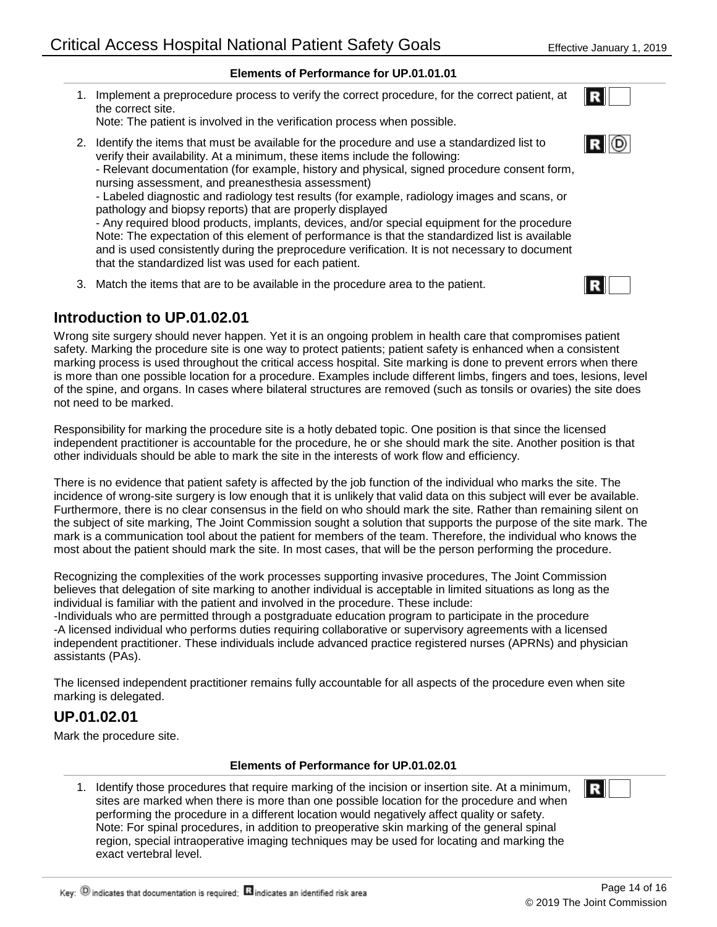### **Elements of Performance for UP.01.01.01**

1. Implement a preprocedure process to verify the correct procedure, for the correct patient, at the correct site.

Note: The patient is involved in the verification process when possible.

2. Identify the items that must be available for the procedure and use a standardized list to verify their availability. At a minimum, these items include the following:

- Relevant documentation (for example, history and physical, signed procedure consent form, nursing assessment, and preanesthesia assessment)

- Labeled diagnostic and radiology test results (for example, radiology images and scans, or pathology and biopsy reports) that are properly displayed

- Any required blood products, implants, devices, and/or special equipment for the procedure Note: The expectation of this element of performance is that the standardized list is available and is used consistently during the preprocedure verification. It is not necessary to document that the standardized list was used for each patient.

3. Match the items that are to be available in the procedure area to the patient.

## **Introduction to UP.01.02.01**

Wrong site surgery should never happen. Yet it is an ongoing problem in health care that compromises patient safety. Marking the procedure site is one way to protect patients; patient safety is enhanced when a consistent marking process is used throughout the critical access hospital. Site marking is done to prevent errors when there is more than one possible location for a procedure. Examples include different limbs, fingers and toes, lesions, level of the spine, and organs. In cases where bilateral structures are removed (such as tonsils or ovaries) the site does not need to be marked.

Responsibility for marking the procedure site is a hotly debated topic. One position is that since the licensed independent practitioner is accountable for the procedure, he or she should mark the site. Another position is that other individuals should be able to mark the site in the interests of work flow and efficiency.

There is no evidence that patient safety is affected by the job function of the individual who marks the site. The incidence of wrong-site surgery is low enough that it is unlikely that valid data on this subject will ever be available. Furthermore, there is no clear consensus in the field on who should mark the site. Rather than remaining silent on the subject of site marking, The Joint Commission sought a solution that supports the purpose of the site mark. The mark is a communication tool about the patient for members of the team. Therefore, the individual who knows the most about the patient should mark the site. In most cases, that will be the person performing the procedure.

Recognizing the complexities of the work processes supporting invasive procedures, The Joint Commission believes that delegation of site marking to another individual is acceptable in limited situations as long as the individual is familiar with the patient and involved in the procedure. These include:

-Individuals who are permitted through a postgraduate education program to participate in the procedure -A licensed individual who performs duties requiring collaborative or supervisory agreements with a licensed independent practitioner. These individuals include advanced practice registered nurses (APRNs) and physician assistants (PAs).

The licensed independent practitioner remains fully accountable for all aspects of the procedure even when site marking is delegated.

## **UP.01.02.01**

Mark the procedure site.

#### **Elements of Performance for UP.01.02.01**

1. Identify those procedures that require marking of the incision or insertion site. At a minimum, sites are marked when there is more than one possible location for the procedure and when performing the procedure in a different location would negatively affect quality or safety. Note: For spinal procedures, in addition to preoperative skin marking of the general spinal region, special intraoperative imaging techniques may be used for locating and marking the exact vertebral level.



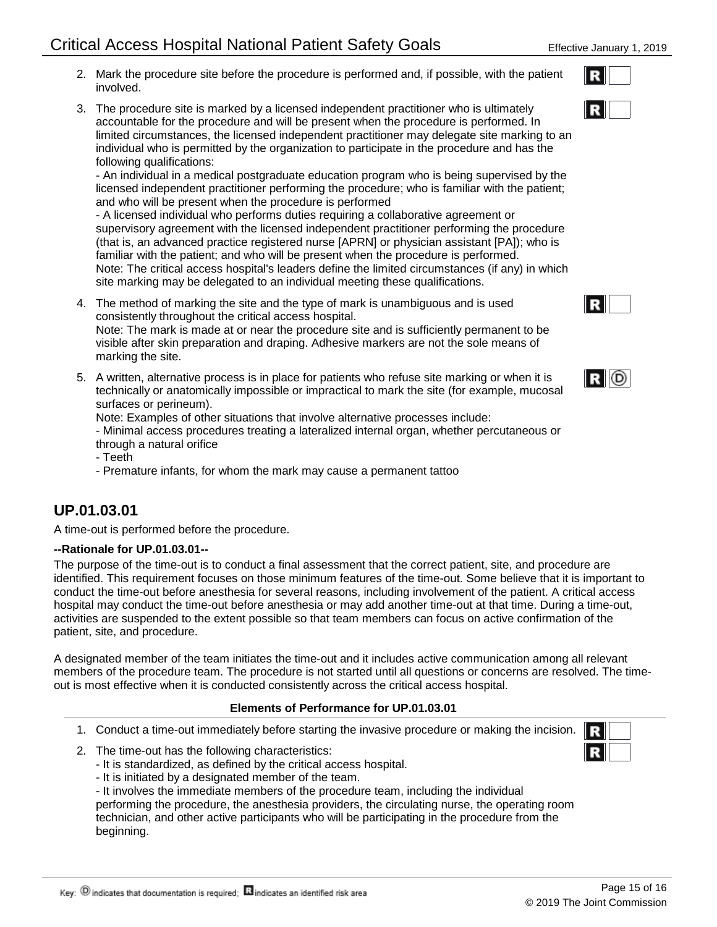- 2. Mark the procedure site before the procedure is performed and, if possible, with the patient involved.
- The procedure site is marked by a licensed independent practitioner who is ultimately 3. accountable for the procedure and will be present when the procedure is performed. In limited circumstances, the licensed independent practitioner may delegate site marking to an individual who is permitted by the organization to participate in the procedure and has the following qualifications:

- An individual in a medical postgraduate education program who is being supervised by the licensed independent practitioner performing the procedure; who is familiar with the patient; and who will be present when the procedure is performed

- A licensed individual who performs duties requiring a collaborative agreement or supervisory agreement with the licensed independent practitioner performing the procedure (that is, an advanced practice registered nurse [APRN] or physician assistant [PA]); who is familiar with the patient; and who will be present when the procedure is performed. Note: The critical access hospital's leaders define the limited circumstances (if any) in which site marking may be delegated to an individual meeting these qualifications.

The method of marking the site and the type of mark is unambiguous and is used 4. consistently throughout the critical access hospital.

Note: The mark is made at or near the procedure site and is sufficiently permanent to be visible after skin preparation and draping. Adhesive markers are not the sole means of marking the site.

5. A written, alternative process is in place for patients who refuse site marking or when it is technically or anatomically impossible or impractical to mark the site (for example, mucosal surfaces or perineum).

Note: Examples of other situations that involve alternative processes include:

- Minimal access procedures treating a lateralized internal organ, whether percutaneous or through a natural orifice

- Teeth

- Premature infants, for whom the mark may cause a permanent tattoo

## **UP.01.03.01**

A time-out is performed before the procedure.

#### **--Rationale for UP.01.03.01--**

The purpose of the time-out is to conduct a final assessment that the correct patient, site, and procedure are identified. This requirement focuses on those minimum features of the time-out. Some believe that it is important to conduct the time-out before anesthesia for several reasons, including involvement of the patient. A critical access hospital may conduct the time-out before anesthesia or may add another time-out at that time. During a time-out, activities are suspended to the extent possible so that team members can focus on active confirmation of the patient, site, and procedure.

A designated member of the team initiates the time-out and it includes active communication among all relevant members of the procedure team. The procedure is not started until all questions or concerns are resolved. The timeout is most effective when it is conducted consistently across the critical access hospital.

#### **Elements of Performance for UP.01.03.01**

- 1. Conduct a time-out immediately before starting the invasive procedure or making the incision.
- 2. The time-out has the following characteristics:
	- It is standardized, as defined by the critical access hospital.
	- It is initiated by a designated member of the team.
	- It involves the immediate members of the procedure team, including the individual performing the procedure, the anesthesia providers, the circulating nurse, the operating room technician, and other active participants who will be participating in the procedure from the beginning.





|--|